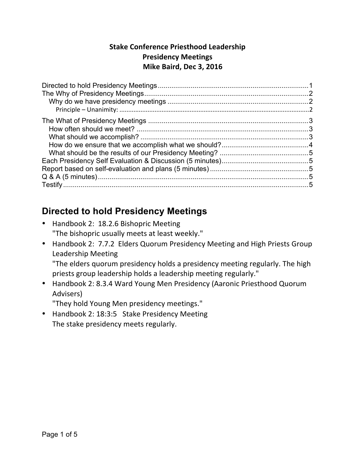#### **Stake Conference Priesthood Leadership Presidency Meetings Mike Baird, Dec 3, 2016**

## **Directed to hold Presidency Meetings**

- Handbook 2: 18.2.6 Bishopric Meeting "The bishopric usually meets at least weekly."
- Handbook 2: 7.7.2 Elders Quorum Presidency Meeting and High Priests Group Leadership Meeting

"The elders quorum presidency holds a presidency meeting regularly. The high priests group leadership holds a leadership meeting regularly."

• Handbook 2: 8.3.4 Ward Young Men Presidency (Aaronic Priesthood Quorum Advisers)

"They hold Young Men presidency meetings."

• Handbook 2: 18:3:5 Stake Presidency Meeting The stake presidency meets regularly.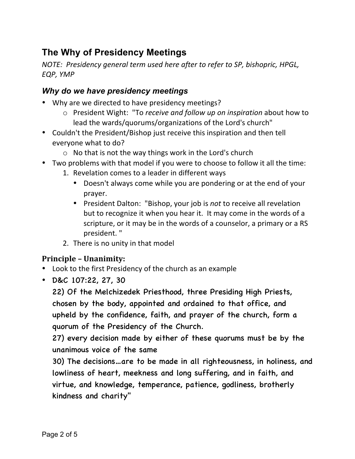# **The Why of Presidency Meetings**

*NOTE: Presidency general term used here after to refer to SP, bishopric, HPGL,* **EQP, YMP** 

#### *Why do we have presidency meetings*

- Why are we directed to have presidency meetings?
	- o President Wight: "To *receive and follow up on inspiration* about how to lead the wards/quorums/organizations of the Lord's church"
- Couldn't the President/Bishop just receive this inspiration and then tell everyone what to do?
	- $\circ$  No that is not the way things work in the Lord's church
- Two problems with that model if you were to choose to follow it all the time:
	- 1. Revelation comes to a leader in different ways
		- Doesn't always come while you are pondering or at the end of your prayer.
		- President Dalton: "Bishop, your job is *not* to receive all revelation but to recognize it when you hear it. It may come in the words of a scripture, or it may be in the words of a counselor, a primary or a RS president. "
	- 2. There is no unity in that model

#### **Principle – Unanimity:**

- Look to the first Presidency of the church as an example
- D&C 107:22, 27, 30

22) Of the Melchizedek Priesthood, three Presiding High Priests, chosen by the body, appointed and ordained to that office, and upheld by the confidence, faith, and prayer of the church, form a quorum of the Presidency of the Church.

27) every decision made by either of these quorums must be by the unanimous voice of the same

30) The decisions…are to be made in all righteousness, in holiness, and lowliness of heart, meekness and long suffering, and in faith, and virtue, and knowledge, temperance, patience, godliness, brotherly kindness and charity"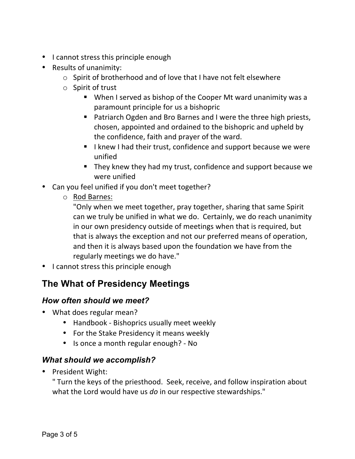- I cannot stress this principle enough
- Results of unanimity:
	- $\circ$  Spirit of brotherhood and of love that I have not felt elsewhere
	- $\circ$  Spirit of trust
		- When I served as bishop of the Cooper Mt ward unanimity was a paramount principle for us a bishopric
		- Patriarch Ogden and Bro Barnes and I were the three high priests, chosen, appointed and ordained to the bishopric and upheld by the confidence, faith and prayer of the ward.
		- I knew I had their trust, confidence and support because we were unified
		- They knew they had my trust, confidence and support because we were unified
- Can you feel unified if you don't meet together?
	- o Rod Barnes:
		- "Only when we meet together, pray together, sharing that same Spirit can we truly be unified in what we do. Certainly, we do reach unanimity in our own presidency outside of meetings when that is required, but that is always the exception and not our preferred means of operation, and then it is always based upon the foundation we have from the regularly meetings we do have."
- I cannot stress this principle enough

# **The What of Presidency Meetings**

### *How often should we meet?*

- What does regular mean?
	- Handbook Bishoprics usually meet weekly
	- For the Stake Presidency it means weekly
	- Is once a month regular enough? No

### *What should we accomplish?*

• President Wight:

" Turn the keys of the priesthood. Seek, receive, and follow inspiration about what the Lord would have us *do* in our respective stewardships."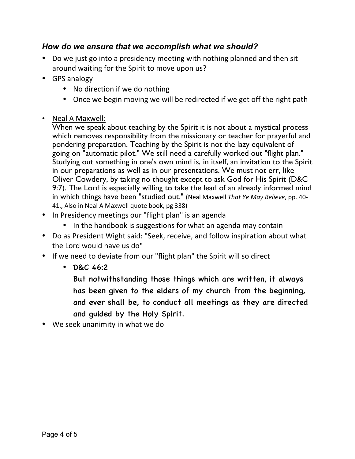#### *How do we ensure that we accomplish what we should?*

- Do we just go into a presidency meeting with nothing planned and then sit around waiting for the Spirit to move upon us?
- GPS analogy
	- No direction if we do nothing
	- Once we begin moving we will be redirected if we get off the right path
- Neal A Maxwell:

When we speak about teaching by the Spirit it is not about a mystical process which removes responsibility from the missionary or teacher for prayerful and pondering preparation. Teaching by the Spirit is not the lazy equivalent of going on "automatic pilot." We still need a carefully worked out "flight plan." Studying out something in one's own mind is, in itself, an invitation to the Spirit in our preparations as well as in our presentations. We must not err, like Oliver Cowdery, by taking no thought except to ask God for His Spirit (D&C 9:7). The Lord is especially willing to take the lead of an already informed mind in which things have been "studied out." (Neal Maxwell That Ye May Believe, pp. 40-41., Also in Neal A Maxwell quote book, pg 338)

- In Presidency meetings our "flight plan" is an agenda
	- In the handbook is suggestions for what an agenda may contain
- Do as President Wight said: "Seek, receive, and follow inspiration about what the Lord would have us do"
- If we need to deviate from our "flight plan" the Spirit will so direct
	- D&C 46:2

But notwithstanding those things which are written, it always has been given to the elders of my church from the beginning, and ever shall be, to conduct all meetings as they are directed and guided by the Holy Spirit.

• We seek unanimity in what we do